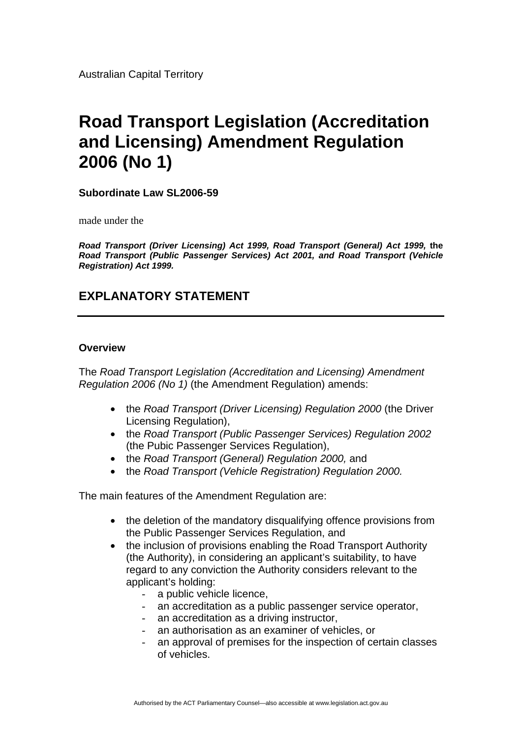Australian Capital Territory

# **Road Transport Legislation (Accreditation and Licensing) Amendment Regulation 2006 (No 1)**

**Subordinate Law SL2006-59** 

made under the

*Road Transport (Driver Licensing) Act 1999, Road Transport (General) Act 1999,* **the**  *Road Transport (Public Passenger Services) Act 2001, and Road Transport (Vehicle Registration) Act 1999.*

# **EXPLANATORY STATEMENT**

#### **Overview**

The *Road Transport Legislation (Accreditation and Licensing) Amendment Regulation 2006 (No 1)* (the Amendment Regulation) amends:

- the *Road Transport (Driver Licensing) Regulation 2000* (the Driver Licensing Regulation),
- the *Road Transport (Public Passenger Services) Regulation 2002* (the Pubic Passenger Services Regulation),
- the *Road Transport (General) Regulation 2000,* and
- the *Road Transport (Vehicle Registration) Regulation 2000.*

The main features of the Amendment Regulation are:

- the deletion of the mandatory disqualifying offence provisions from the Public Passenger Services Regulation, and
- the inclusion of provisions enabling the Road Transport Authority (the Authority), in considering an applicant's suitability, to have regard to any conviction the Authority considers relevant to the applicant's holding:
	- a public vehicle licence,
	- an accreditation as a public passenger service operator,
	- an accreditation as a driving instructor,
	- an authorisation as an examiner of vehicles, or
	- an approval of premises for the inspection of certain classes of vehicles.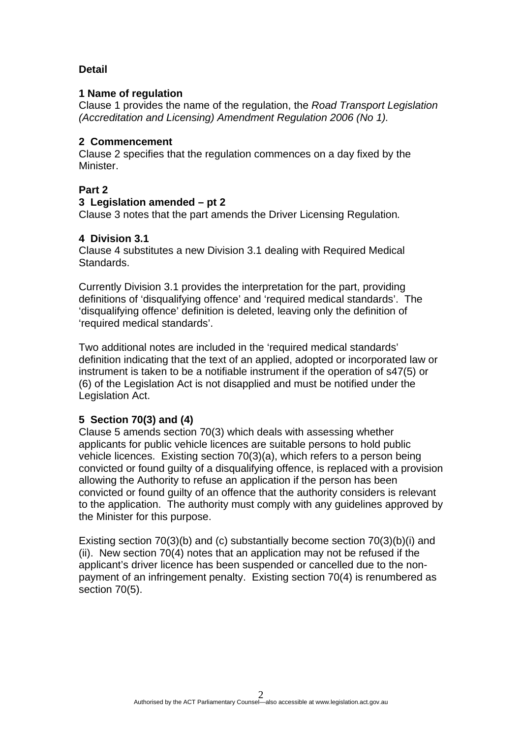## **Detail**

#### **1 Name of regulation**

Clause 1 provides the name of the regulation, the *Road Transport Legislation (Accreditation and Licensing) Amendment Regulation 2006 (No 1).* 

#### **2 Commencement**

Clause 2 specifies that the regulation commences on a day fixed by the Minister.

## **Part 2**

## **3 Legislation amended – pt 2**

Clause 3 notes that the part amends the Driver Licensing Regulation*.* 

## **4 Division 3.1**

Clause 4 substitutes a new Division 3.1 dealing with Required Medical Standards.

Currently Division 3.1 provides the interpretation for the part, providing definitions of 'disqualifying offence' and 'required medical standards'. The 'disqualifying offence' definition is deleted, leaving only the definition of 'required medical standards'.

Two additional notes are included in the 'required medical standards' definition indicating that the text of an applied, adopted or incorporated law or instrument is taken to be a notifiable instrument if the operation of s47(5) or (6) of the Legislation Act is not disapplied and must be notified under the Legislation Act.

## **5 Section 70(3) and (4)**

Clause 5 amends section 70(3) which deals with assessing whether applicants for public vehicle licences are suitable persons to hold public vehicle licences. Existing section 70(3)(a), which refers to a person being convicted or found guilty of a disqualifying offence, is replaced with a provision allowing the Authority to refuse an application if the person has been convicted or found guilty of an offence that the authority considers is relevant to the application. The authority must comply with any guidelines approved by the Minister for this purpose.

Existing section 70(3)(b) and (c) substantially become section 70(3)(b)(i) and (ii). New section 70(4) notes that an application may not be refused if the applicant's driver licence has been suspended or cancelled due to the nonpayment of an infringement penalty. Existing section 70(4) is renumbered as section 70(5).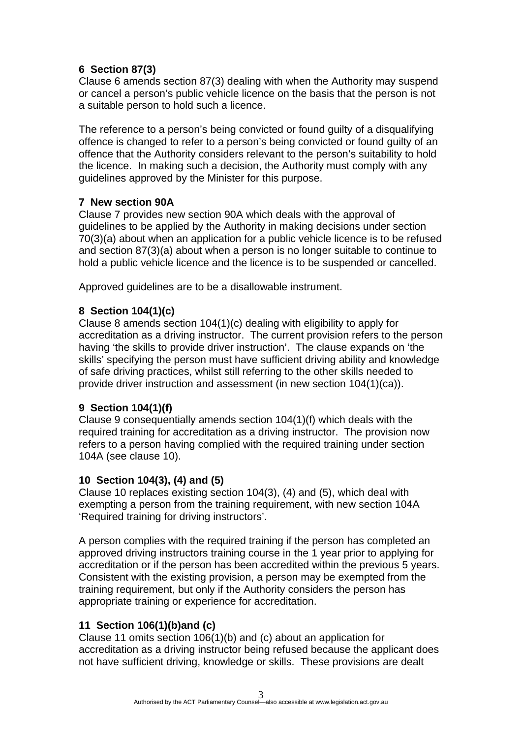## **6 Section 87(3)**

Clause 6 amends section 87(3) dealing with when the Authority may suspend or cancel a person's public vehicle licence on the basis that the person is not a suitable person to hold such a licence.

The reference to a person's being convicted or found guilty of a disqualifying offence is changed to refer to a person's being convicted or found guilty of an offence that the Authority considers relevant to the person's suitability to hold the licence. In making such a decision, the Authority must comply with any guidelines approved by the Minister for this purpose.

# **7 New section 90A**

Clause 7 provides new section 90A which deals with the approval of guidelines to be applied by the Authority in making decisions under section 70(3)(a) about when an application for a public vehicle licence is to be refused and section 87(3)(a) about when a person is no longer suitable to continue to hold a public vehicle licence and the licence is to be suspended or cancelled.

Approved guidelines are to be a disallowable instrument.

# **8 Section 104(1)(c)**

Clause 8 amends section 104(1)(c) dealing with eligibility to apply for accreditation as a driving instructor. The current provision refers to the person having 'the skills to provide driver instruction'. The clause expands on 'the skills' specifying the person must have sufficient driving ability and knowledge of safe driving practices, whilst still referring to the other skills needed to provide driver instruction and assessment (in new section 104(1)(ca)).

## **9 Section 104(1)(f)**

Clause 9 consequentially amends section 104(1)(f) which deals with the required training for accreditation as a driving instructor. The provision now refers to a person having complied with the required training under section 104A (see clause 10).

## **10 Section 104(3), (4) and (5)**

Clause 10 replaces existing section 104(3), (4) and (5), which deal with exempting a person from the training requirement, with new section 104A 'Required training for driving instructors'.

A person complies with the required training if the person has completed an approved driving instructors training course in the 1 year prior to applying for accreditation or if the person has been accredited within the previous 5 years. Consistent with the existing provision, a person may be exempted from the training requirement, but only if the Authority considers the person has appropriate training or experience for accreditation.

# **11 Section 106(1)(b)and (c)**

Clause 11 omits section 106(1)(b) and (c) about an application for accreditation as a driving instructor being refused because the applicant does not have sufficient driving, knowledge or skills. These provisions are dealt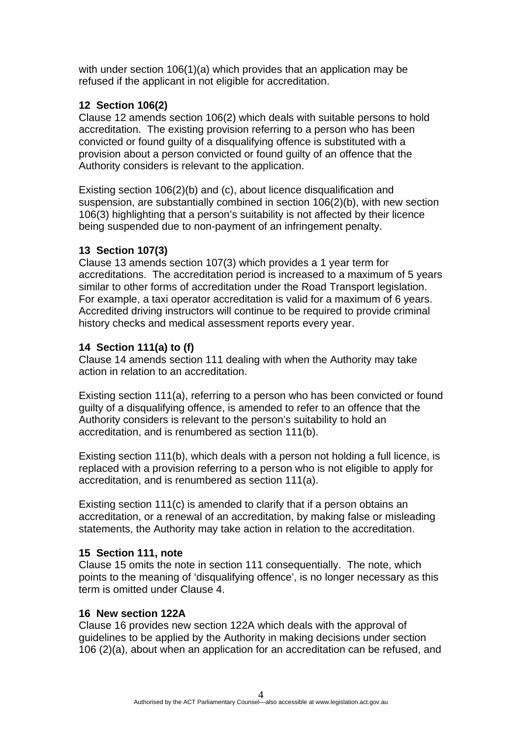with under section 106(1)(a) which provides that an application may be refused if the applicant in not eligible for accreditation.

## **12 Section 106(2)**

Clause 12 amends section 106(2) which deals with suitable persons to hold accreditation. The existing provision referring to a person who has been convicted or found guilty of a disqualifying offence is substituted with a provision about a person convicted or found guilty of an offence that the Authority considers is relevant to the application.

Existing section 106(2)(b) and (c), about licence disqualification and suspension, are substantially combined in section 106(2)(b), with new section 106(3) highlighting that a person's suitability is not affected by their licence being suspended due to non-payment of an infringement penalty.

# **13 Section 107(3)**

Clause 13 amends section 107(3) which provides a 1 year term for accreditations. The accreditation period is increased to a maximum of 5 years similar to other forms of accreditation under the Road Transport legislation. For example, a taxi operator accreditation is valid for a maximum of 6 years. Accredited driving instructors will continue to be required to provide criminal history checks and medical assessment reports every year.

# **14 Section 111(a) to (f)**

Clause 14 amends section 111 dealing with when the Authority may take action in relation to an accreditation.

Existing section 111(a), referring to a person who has been convicted or found guilty of a disqualifying offence, is amended to refer to an offence that the Authority considers is relevant to the person's suitability to hold an accreditation, and is renumbered as section 111(b).

Existing section 111(b), which deals with a person not holding a full licence, is replaced with a provision referring to a person who is not eligible to apply for accreditation, and is renumbered as section 111(a).

Existing section 111(c) is amended to clarify that if a person obtains an accreditation, or a renewal of an accreditation, by making false or misleading statements, the Authority may take action in relation to the accreditation.

## **15 Section 111, note**

Clause 15 omits the note in section 111 consequentially. The note, which points to the meaning of 'disqualifying offence', is no longer necessary as this term is omitted under Clause 4.

## **16 New section 122A**

Clause 16 provides new section 122A which deals with the approval of guidelines to be applied by the Authority in making decisions under section 106 (2)(a), about when an application for an accreditation can be refused, and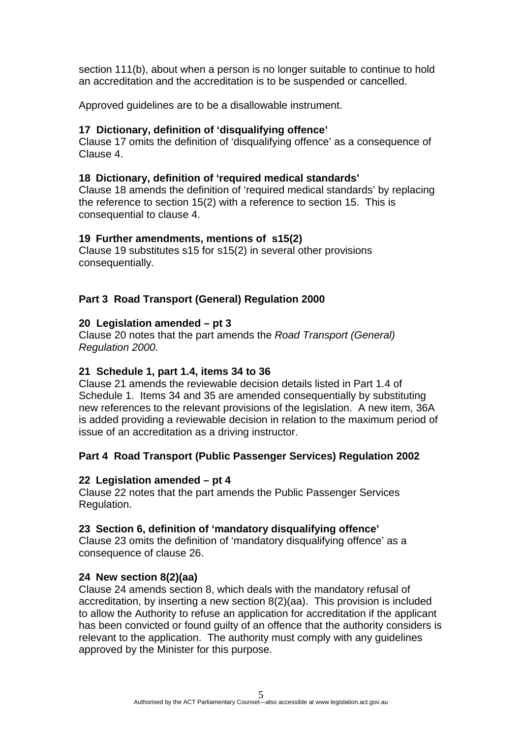section 111(b), about when a person is no longer suitable to continue to hold an accreditation and the accreditation is to be suspended or cancelled.

Approved guidelines are to be a disallowable instrument.

## **17 Dictionary, definition of 'disqualifying offence'**

Clause 17 omits the definition of 'disqualifying offence' as a consequence of Clause 4.

## **18 Dictionary, definition of 'required medical standards'**

Clause 18 amends the definition of 'required medical standards' by replacing the reference to section 15(2) with a reference to section 15. This is consequential to clause 4.

## **19 Further amendments, mentions of s15(2)**

Clause 19 substitutes s15 for s15(2) in several other provisions consequentially.

## **Part 3 Road Transport (General) Regulation 2000**

## **20 Legislation amended – pt 3**

Clause 20 notes that the part amends the *Road Transport (General) Regulation 2000.* 

## **21 Schedule 1, part 1.4, items 34 to 36**

Clause 21 amends the reviewable decision details listed in Part 1.4 of Schedule 1. Items 34 and 35 are amended consequentially by substituting new references to the relevant provisions of the legislation. A new item, 36A is added providing a reviewable decision in relation to the maximum period of issue of an accreditation as a driving instructor.

## **Part 4 Road Transport (Public Passenger Services) Regulation 2002**

## **22 Legislation amended – pt 4**

Clause 22 notes that the part amends the Public Passenger Services Regulation.

## **23 Section 6, definition of 'mandatory disqualifying offence'**

Clause 23 omits the definition of 'mandatory disqualifying offence' as a consequence of clause 26.

## **24 New section 8(2)(aa)**

Clause 24 amends section 8, which deals with the mandatory refusal of accreditation, by inserting a new section 8(2)(aa). This provision is included to allow the Authority to refuse an application for accreditation if the applicant has been convicted or found guilty of an offence that the authority considers is relevant to the application. The authority must comply with any guidelines approved by the Minister for this purpose.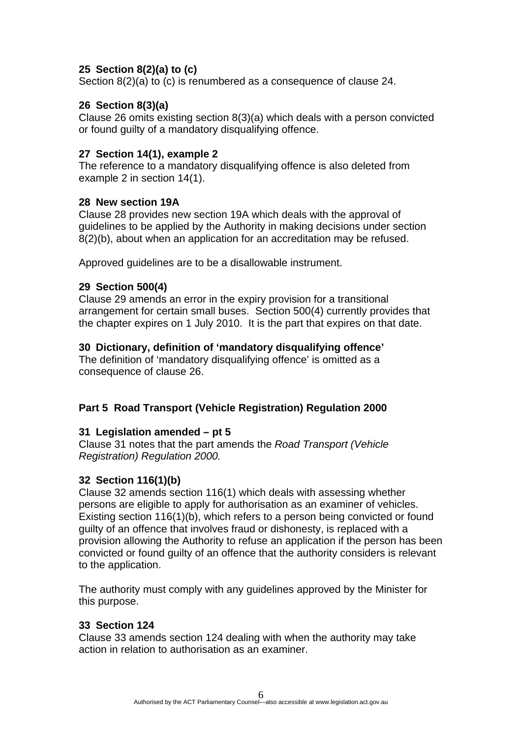## **25 Section 8(2)(a) to (c)**

Section 8(2)(a) to (c) is renumbered as a consequence of clause 24.

## **26 Section 8(3)(a)**

Clause 26 omits existing section 8(3)(a) which deals with a person convicted or found guilty of a mandatory disqualifying offence.

#### **27 Section 14(1), example 2**

The reference to a mandatory disqualifying offence is also deleted from example 2 in section 14(1).

#### **28 New section 19A**

Clause 28 provides new section 19A which deals with the approval of guidelines to be applied by the Authority in making decisions under section 8(2)(b), about when an application for an accreditation may be refused.

Approved guidelines are to be a disallowable instrument.

#### **29 Section 500(4)**

Clause 29 amends an error in the expiry provision for a transitional arrangement for certain small buses. Section 500(4) currently provides that the chapter expires on 1 July 2010. It is the part that expires on that date.

#### **30 Dictionary, definition of 'mandatory disqualifying offence'**

The definition of 'mandatory disqualifying offence' is omitted as a consequence of clause 26.

## **Part 5 Road Transport (Vehicle Registration) Regulation 2000**

#### **31 Legislation amended – pt 5**

Clause 31 notes that the part amends the *Road Transport (Vehicle Registration) Regulation 2000.* 

#### **32 Section 116(1)(b)**

Clause 32 amends section 116(1) which deals with assessing whether persons are eligible to apply for authorisation as an examiner of vehicles. Existing section 116(1)(b), which refers to a person being convicted or found guilty of an offence that involves fraud or dishonesty, is replaced with a provision allowing the Authority to refuse an application if the person has been convicted or found guilty of an offence that the authority considers is relevant to the application.

The authority must comply with any guidelines approved by the Minister for this purpose.

#### **33 Section 124**

Clause 33 amends section 124 dealing with when the authority may take action in relation to authorisation as an examiner.